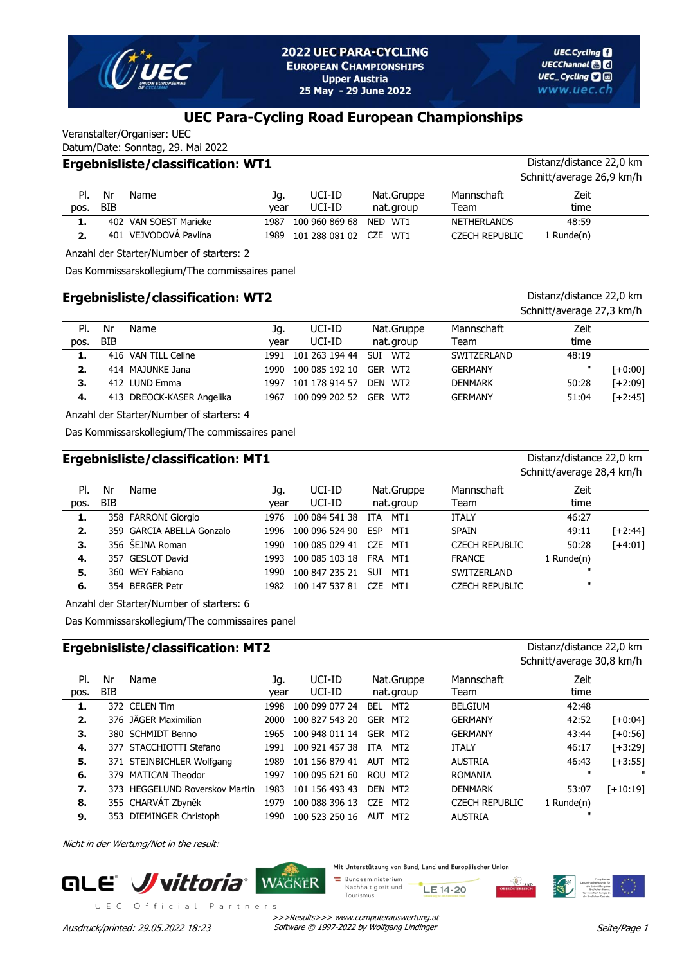

# **UEC Para-Cycling Road European Championships**

Veranstalter/Organiser: UEC

#### Datum/Date: Sonntag, 29. Mai 2022 **Ergebnisliste/classification: WT1** Distanz/distance 22,0 km

|      |            |                       |      |                             |            |                       | Schnitt/average 26,9 km/h |
|------|------------|-----------------------|------|-----------------------------|------------|-----------------------|---------------------------|
| PI.  | Nr         | Name                  | Jq.  | UCI-ID                      | Nat.Gruppe | Mannschaft            | Zeit                      |
| pos. | <b>BIB</b> |                       | vear | UCI-ID                      | nat.group  | Team                  | time                      |
|      |            | 402 VAN SOEST Marieke | 1987 | 100 960 869 68              | NED WT1    | <b>NETHERLANDS</b>    | 48:59                     |
| 2.   |            | 401 VEJVODOVÁ Pavlína |      | 1989 101 288 081 02 CZE WT1 |            | <b>CZECH REPUBLIC</b> | l Runde(n)                |

Anzahl der Starter/Number of starters: 2

Das Kommissarskollegium/The commissaires panel

|      | <b>Ergebnisliste/classification: WT2</b> |                           |      |                |            |                |                | Distanz/distance 22,0 km<br>Schnitt/average 27,3 km/h |
|------|------------------------------------------|---------------------------|------|----------------|------------|----------------|----------------|-------------------------------------------------------|
| PI.  | Nr                                       | Name                      | Jg.  | UCI-ID         | Nat.Gruppe | Mannschaft     | Zeit           |                                                       |
| pos. | <b>BIB</b>                               |                           | year | UCI-ID         | nat. group | Team           | time           |                                                       |
| 1.   |                                          | 416 VAN TILL Celine       | 1991 | 101 263 194 44 | SUI WT2    | SWITZERLAND    | 48:19          |                                                       |
| 2.   |                                          | 414 MAJUNKE Jana          | 1990 | 100 085 192 10 | GER WT2    | <b>GERMANY</b> | $\blacksquare$ | [+0:00]                                               |
| З.   |                                          | 412 LUND Emma             | 1997 | 101 178 914 57 | DFN WT2    | <b>DENMARK</b> | 50:28          | $[-2:09]$                                             |
| 4.   |                                          | 413 DREOCK-KASER Angelika | 1967 | 100 099 202 52 | GER WT2    | <b>GERMANY</b> | 51:04          | $[+2:45]$                                             |

Anzahl der Starter/Number of starters: 4

Das Kommissarskollegium/The commissaires panel

### **Ergebnisliste/classification: MT1** Distanz/distance 22,0 km

Schnitt/average 28,4 km/h

| PI.  | Nr  | Name                      | Jq.  | UCI-ID              |            | Nat.Gruppe | Mannschaft            | Zeit            |           |
|------|-----|---------------------------|------|---------------------|------------|------------|-----------------------|-----------------|-----------|
| pos. | BIB |                           | vear | UCI-ID              |            | nat. group | Team                  | time            |           |
| 1.   |     | 358 FARRONI Giorgio       |      | 1976 100 084 541 38 | ITA MT1    |            | <b>ITALY</b>          | 46:27           |           |
| 2.   |     | 359 GARCIA ABELLA Gonzalo |      | 1996 100 096 524 90 |            | ESP MT1    | SPAIN                 | 49:11           | [+2:44]   |
| 3.   |     | 356 ŠEJNA Roman           | 1990 | 100 085 029 41      | CZE MT1    |            | <b>CZECH REPUBLIC</b> | 50:28           | $[+4:01]$ |
| 4.   |     | 357 GESLOT David          | 1993 | 100 085 103 18      |            | FRA MT1    | <b>FRANCE</b>         | $1$ Runde $(n)$ |           |
| 5.   |     | 360 WEY Fabiano           | 1990 | 100 847 235 21      | <b>SUI</b> | MT1        | SWITZERLAND           | $\mathbf{u}$    |           |
| 6.   |     | 354 BERGER Petr           | 1982 | 100 147 537 81      | CZE        | MT1        | <b>CZECH REPUBLIC</b> | $\mathbf{u}$    |           |

Anzahl der Starter/Number of starters: 6

Das Kommissarskollegium/The commissaires panel

# **Ergebnisliste/classification: MT2** Distanz/distance 22,0 km

|      |            |                                |      |                |                               |                       | Schnitt/average 30,8 km/h |              |
|------|------------|--------------------------------|------|----------------|-------------------------------|-----------------------|---------------------------|--------------|
| PI.  | Nr         | Name                           | Jq.  | UCI-ID         | Nat.Gruppe                    | Mannschaft            | Zeit                      |              |
| pos. | <b>BIB</b> |                                | vear | UCI-ID         | nat.group                     | Team                  | time                      |              |
| 1.   |            | 372 CELEN Tim                  | 1998 | 100 099 077 24 | MT <sub>2</sub><br>BEL        | <b>BELGIUM</b>        | 42:48                     |              |
| 2.   |            | 376 JÄGER Maximilian           | 2000 | 100 827 543 20 | GER MT2                       | <b>GERMANY</b>        | 42:52                     | [+0:04]      |
| 3.   |            | 380 SCHMIDT Benno              | 1965 | 100 948 011 14 | GER<br>MT2                    | <b>GERMANY</b>        | 43:44                     | $[+0:56]$    |
| 4.   |            | 377 STACCHIOTTI Stefano        | 1991 | 100 921 457 38 | MT2<br>ITA                    | <b>ITALY</b>          | 46:17                     | $[-13:29]$   |
| 5.   |            | 371 STEINBICHLER Wolfgang      | 1989 | 101 156 879 41 | AUT MT2                       | <b>AUSTRIA</b>        | 46:43                     | $[-13:55]$   |
| 6.   |            | 379 MATICAN Theodor            | 1997 | 100 095 621 60 | ROU MT2                       | <b>ROMANIA</b>        | $\mathbf{u}$              | $\mathbf{u}$ |
| 7.   |            | 373 HEGGELUND Roverskov Martin | 1983 | 101 156 493 43 | DEN MT2                       | <b>DENMARK</b>        | 53:07                     | $[-10:19]$   |
| 8.   |            | 355 CHARVÁT Zbyněk             | 1979 | 100 088 396 13 | <b>CZE</b><br>MT <sub>2</sub> | <b>CZECH REPUBLIC</b> | 1 Runde(n)                |              |
| 9.   |            | 353 DIEMINGER Christoph        | 1990 | 100 523 250 16 | AUT MT2                       | <b>AUSTRIA</b>        | $\mathbf{H}$              |              |

Nicht in der Wertung/Not in the result:



Mit Unterstützung von Bund, Land und Europäischer Union

 $\equiv$  Bundesministerium Nachhaltigkeit und LE 14-20 Tourismus

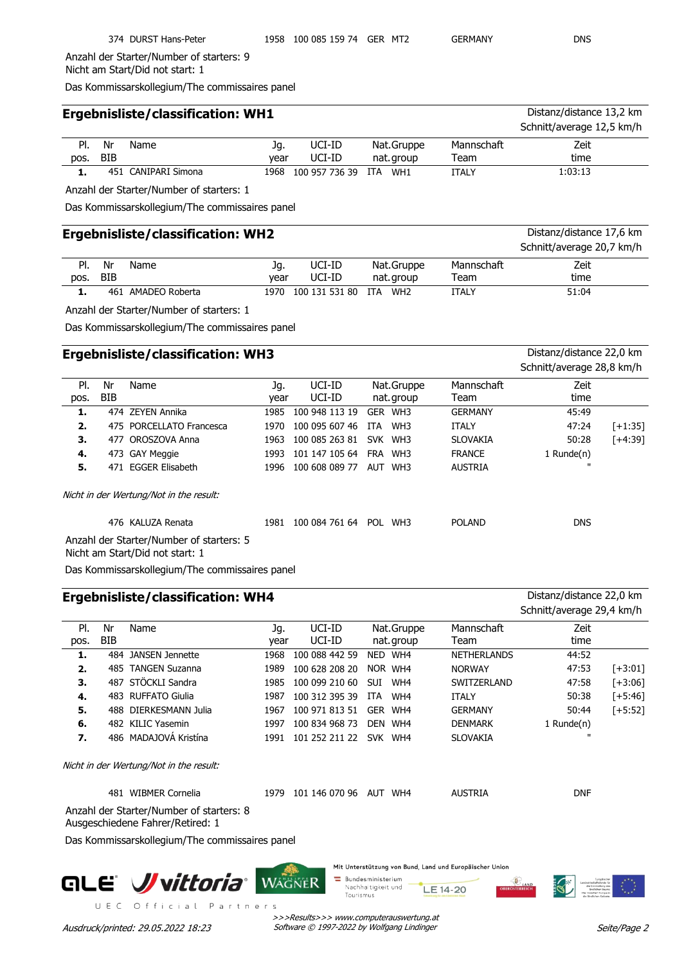374 DURST Hans-Peter 1958 100 085 159 74 GER MT2 GERMANY DNS

Anzahl der Starter/Number of starters: 9 Nicht am Start/Did not start: 1

Das Kommissarskollegium/The commissaires panel

| <b>Ergebnisliste/classification: WH1</b> |            | Distanz/distance 13,2 km |      |                             |            |              |                           |
|------------------------------------------|------------|--------------------------|------|-----------------------------|------------|--------------|---------------------------|
|                                          |            |                          |      |                             |            |              | Schnitt/average 12,5 km/h |
| PI.                                      | Nr         | Name                     | Jq.  | UCI-ID                      | Nat.Gruppe | Mannschaft   | Zeit                      |
| pos.                                     | <b>BIB</b> |                          | vear | UCI-ID                      | nat.group  | Team         | time                      |
|                                          |            | 451 CANIPARI Simona      |      | 1968 100 957 736 39 ITA WH1 |            | <b>ITALY</b> | 1:03:13                   |

Anzahl der Starter/Number of starters: 1

Das Kommissarskollegium/The commissaires panel

## **Ergebnisliste/classification: WH2** Distanz/distance 17,6 km

|      |            |                    |      |                |                        |            | Schnitt/average 20,7 km/h |
|------|------------|--------------------|------|----------------|------------------------|------------|---------------------------|
| PI.  | Nr         | Name               | Jq.  | UCI-ID         | Nat.Gruppe             | Mannschaft | Zeit                      |
| pos. | <b>BIB</b> |                    | vear | UCI-ID         | nat.group              | Team       | time                      |
|      |            | 461 AMADEO Roberta | 1970 | 100 131 531 80 | ITA<br>WH <sub>2</sub> | ITALY      | 51:04                     |

Anzahl der Starter/Number of starters: 1

Das Kommissarskollegium/The commissaires panel

## **Ergebnisliste/classification: WH3** Distanz/distance 22,0 km

|      |     |                                                                             |      |                |      |                 |                 | Schnitt/average 28,8 km/h |         |
|------|-----|-----------------------------------------------------------------------------|------|----------------|------|-----------------|-----------------|---------------------------|---------|
| PI.  | Nr  | Name                                                                        | Jg.  | UCI-ID         |      | Nat.Gruppe      | Mannschaft      | Zeit                      |         |
| pos. | BIB |                                                                             | year | UCI-ID         |      | nat.group       | Team            | time                      |         |
| 1.   |     | 474 ZEYEN Annika                                                            | 1985 | 100 948 113 19 | GER  | WH <sub>3</sub> | <b>GERMANY</b>  | 45:49                     |         |
| 2.   |     | 475 PORCELLATO Francesca                                                    | 1970 | 100 095 607 46 | ITA. | WH3             | <b>ITALY</b>    | 47:24                     | [+1:35] |
| З.   | 477 | OROSZOVA Anna                                                               | 1963 | 100 085 263 81 |      | SVK WH3         | <b>SLOVAKIA</b> | 50:28                     | [+4:39] |
| 4.   |     | 473 GAY Meggie                                                              | 1993 | 101 147 105 64 | FRA  | WH3             | <b>FRANCE</b>   | 1 Runde(n)                |         |
| 5.   | 471 | <b>EGGER Elisabeth</b>                                                      | 1996 | 100 608 089 77 |      | AUT WH3         | <b>AUSTRIA</b>  | п                         |         |
|      |     | Nicht in der Wertung/Not in the result:                                     |      |                |      |                 |                 |                           |         |
|      |     | 476 KALUZA Renata                                                           | 1981 | 100 084 761 64 |      | POL WH3         | <b>POLAND</b>   | <b>DNS</b>                |         |
|      |     | Anzahl der Starter/Number of starters: 5<br>Nicht am Start/Did not start: 1 |      |                |      |                 |                 |                           |         |

Das Kommissarskollegium/The commissaires panel

|             |                  | <b>Ergebnisliste/classification: WH4</b> |             | Distanz/distance 22,0 km<br>Schnitt/average 29,4 km/h |                          |  |                    |               |            |
|-------------|------------------|------------------------------------------|-------------|-------------------------------------------------------|--------------------------|--|--------------------|---------------|------------|
| PI.<br>pos. | Nr<br><b>BIB</b> | Name                                     | Jq.<br>year | UCI-ID<br>UCI-ID                                      | Nat.Gruppe<br>nat. group |  | Mannschaft<br>Team | Zeit<br>time  |            |
| 1.          | 484              | JANSEN Jennette                          | 1968        | 100 088 442 59                                        | NED WH4                  |  | <b>NETHERLANDS</b> | 44:52         |            |
| 2.          | 485              | <b>TANGEN Suzanna</b>                    | 1989        | 100 628 208 20                                        | NOR WH4                  |  | <b>NORWAY</b>      | 47:53         | $[-13:01]$ |
| 3.          | 487              | STÖCKLI Sandra                           | 1985        | 100 099 210 60                                        | <b>SUI</b><br>WH4        |  | SWITZERLAND        | 47:58         | $[-13:06]$ |
| 4.          |                  | 483 RUFFATO Giulia                       | 1987        | 100 312 395 39                                        | ITA<br>WH4               |  | <b>ITALY</b>       | 50:38         | $[-5:46]$  |
| 5.          |                  | 488 DIERKESMANN Julia                    | 1967        | 100 971 813 51                                        | GER WH4                  |  | <b>GERMANY</b>     | 50:44         | $[-5:52]$  |
| 6.          |                  | 482 KILIC Yasemin                        | 1997        | 100 834 968 73                                        | DEN<br>WH4               |  | <b>DENMARK</b>     | 1 Runde $(n)$ |            |
| 7.          |                  | 486 MADAJOVÁ Kristína                    | 1991        | 101 252 211 22                                        | <b>SVK</b><br>WH4        |  | <b>SLOVAKIA</b>    | $\mathbf{u}$  |            |
|             |                  | Nicht in der Wertung/Not in the result:  |             |                                                       |                          |  |                    |               |            |
|             | 481              | <b>WIBMER Cornelia</b>                   | 1979        | 101 146 070 96                                        | AUT<br>WH4               |  | <b>AUSTRIA</b>     | <b>DNF</b>    |            |

Anzahl der Starter/Number of starters: 8

Ausgeschiedene Fahrer/Retired: 1

Das Kommissarskollegium/The commissaires panel



Mit Unterstützung von Bund, Land und Europäischer Union

Bundesministerium Nachhaltigkeit und LE 14-20 Tourismus



>>>Results>>> www.computerauswertung.at Ausdruck/printed: 29.05.2022 18:23 Software © 1997-2022 by Wolfgang Lindinger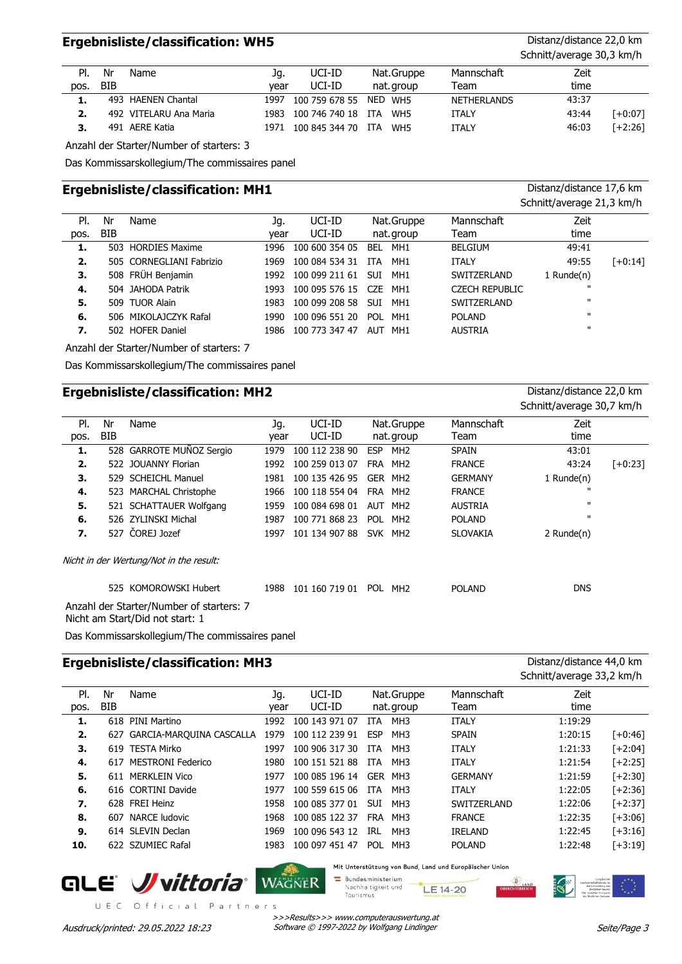## **Ergebnisliste/classification: WH5** Distanz/distance 22,0 km

Schnitt/average 30,3 km/h

|      |            |                        |      |                         |            |                    | $\sim$ |           |  |
|------|------------|------------------------|------|-------------------------|------------|--------------------|--------|-----------|--|
| PI.  | Nr         | Name                   | Jq.  | UCI-ID                  | Nat.Gruppe | Mannschaft         | Zeit   |           |  |
| pos. | <b>BIB</b> |                        | vear | UCI-ID                  | nat. group | Team               | time   |           |  |
|      |            | 493 HAENEN Chantal     | 1997 | 100 759 678 55 NED WH5  |            | <b>NETHERLANDS</b> | 43:37  |           |  |
| 2.   |            | 492 VITELARU Ana Maria |      | 1983 100 746 740 18 ITA | WH5        | <b>ITALY</b>       | 43:44  | $[-6:07]$ |  |
| з.   |            | 491 AERE Katia         | 1971 | 100 845 344 70 ITA WH5  |            | ITALY              | 46:03  | $[-2:26]$ |  |

Anzahl der Starter/Number of starters: 3

Das Kommissarskollegium/The commissaires panel

## **Ergebnisliste/classification: MH1** Distanz/distance 17,6 km

|      |     |                          |      |                |                         |                       | Schnitt/average 21,3 km/h |           |
|------|-----|--------------------------|------|----------------|-------------------------|-----------------------|---------------------------|-----------|
| PI.  | Nr  | Name                     | Jq.  | UCI-ID         | Nat.Gruppe              | Mannschaft            | Zeit                      |           |
| pos. | BIB |                          | vear | UCI-ID         | nat.group               | Team                  | time                      |           |
| 1.   |     | 503 HORDIES Maxime       | 1996 | 100 600 354 05 | MH1<br>BEL              | <b>BELGIUM</b>        | 49:41                     |           |
| 2.   |     | 505 CORNEGLIANI Fabrizio | 1969 | 100 084 534 31 | MH <sub>1</sub><br>ITA. | <b>ITALY</b>          | 49:55                     | $[-0:14]$ |
| з.   |     | 508 FRÜH Benjamin        | 1992 | 100 099 211 61 | <b>SUI</b><br>MH1       | SWITZERLAND           | 1 Runde $(n)$             |           |
| -4.  |     | 504 JAHODA Patrik        | 1993 | 100 095 576 15 | CZE<br>MH1              | <b>CZECH REPUBLIC</b> | $\mathbf{H}$              |           |
| 5.   |     | 509 TUOR Alain           | 1983 | 100 099 208 58 | MH1<br><b>SUT</b>       | SWITZERLAND           | $\mathbf{H}$              |           |
| 6.   |     | 506 MIKOLAJCZYK Rafal    | 1990 | 100 096 551 20 | <b>POL</b><br>MH1       | <b>POLAND</b>         | $\mathbf{H}$              |           |
| 7.   |     | 502 HOFER Daniel         | 1986 | 100 773 347 47 | MH1<br>AUT              | <b>AUSTRIA</b>        | $\mathbf{u}$              |           |

Anzahl der Starter/Number of starters: 7

Das Kommissarskollegium/The commissaires panel

# **Ergebnisliste/classification: MH2** Distanz/distance 22,0 km

|      |     |                                                   |      |                |            |                     |                 | Schnitt/average 30,7 km/h |           |
|------|-----|---------------------------------------------------|------|----------------|------------|---------------------|-----------------|---------------------------|-----------|
| PI.  | Nr  | Name                                              | Jq.  | UCI-ID         |            | Nat.Gruppe          | Mannschaft      | Zeit                      |           |
| pos. | BIB |                                                   | year | UCI-ID         |            | nat.group           | Team            | time                      |           |
| 1.   |     | 528 GARROTE MUÑOZ Sergio                          | 1979 | 100 112 238 90 | <b>ESP</b> | MH <sub>2</sub>     | <b>SPAIN</b>    | 43:01                     |           |
| 2.   |     | 522 JOUANNY Florian                               | 1992 | 100 259 013 07 | FRA        | MH <sub>2</sub>     | <b>FRANCE</b>   | 43:24                     | $[-6:23]$ |
| 3.   |     | 529 SCHEICHL Manuel                               | 1981 | 100 135 426 95 | GER        | MH <sub>2</sub>     | <b>GERMANY</b>  | 1 Runde(n)                |           |
| 4.   |     | 523 MARCHAL Christophe                            | 1966 | 100 118 554 04 |            | FRA MH <sub>2</sub> | <b>FRANCE</b>   | $\mathbf{u}$              |           |
| 5.   |     | 521 SCHATTAUER Wolfgang                           | 1959 | 100 084 698 01 | <b>AUT</b> | MH <sub>2</sub>     | <b>AUSTRIA</b>  | $\mathbf{u}$              |           |
| 6.   |     | 526 ZYLINSKI Michal                               | 1987 | 100 771 868 23 |            | POL MH <sub>2</sub> | <b>POLAND</b>   | $\mathbf{u}$              |           |
| 7.   |     | 527 COREJ Jozef                                   | 1997 | 101 134 907 88 |            | SVK MH <sub>2</sub> | <b>SLOVAKIA</b> | 2 Runde(n)                |           |
|      |     | Nicht in der Wertung/Not in the result:           |      |                |            |                     |                 |                           |           |
|      |     | 525 KOMOROWSKI Hubert                             | 1988 | 101 160 719 01 | POL        | MH <sub>2</sub>     | <b>POLAND</b>   | <b>DNS</b>                |           |
|      |     | Antonio del Gregore del Millon de contente del 17 |      |                |            |                     |                 |                           |           |

Anzahl der Starter/Number of starters: 7 Nicht am Start/Did not start: 1

Das Kommissarskollegium/The commissaires panel

# **Ergebnisliste/classification: MH3** Distanz/distance 44,0 km

|      |            |                          |      |                |            |                 |                | Schnitt/average 33,2 km/h |            |
|------|------------|--------------------------|------|----------------|------------|-----------------|----------------|---------------------------|------------|
| PI.  | Nr         | Name                     | Jq.  | UCI-ID         |            | Nat.Gruppe      | Mannschaft     | Zeit                      |            |
| pos. | <b>BIB</b> |                          | year | UCI-ID         |            | nat. group      | Team           | time                      |            |
| 1.   |            | 618 PINI Martino         | 1992 | 100 143 971 07 | <b>ITA</b> | MH <sub>3</sub> | <b>ITALY</b>   | 1:19:29                   |            |
| 2.   | 627        | GARCIA-MARQUINA CASCALLA | 1979 | 100 112 239 91 | <b>ESP</b> | MH <sub>3</sub> | <b>SPAIN</b>   | 1:20:15                   | $[-10:46]$ |
| 3.   |            | 619 TESTA Mirko          | 1997 | 100 906 317 30 | ITA.       | MH <sub>3</sub> | <b>ITALY</b>   | 1:21:33                   | $[-2:04]$  |
| 4.   | 617        | <b>MESTRONI Federico</b> | 1980 | 100 151 521 88 | ITA.       | MH <sub>3</sub> | <b>ITALY</b>   | 1:21:54                   | $[-2:25]$  |
| 5.   |            | 611 MERKLEIN Vico        | 1977 | 100 085 196 14 |            | GER MH3         | <b>GERMANY</b> | 1:21:59                   | $[-2:30]$  |
| 6.   |            | 616 CORTINI Davide       | 1977 | 100 559 615 06 | <b>ITA</b> | MH <sub>3</sub> | <b>ITALY</b>   | 1:22:05                   | $[-2:36]$  |
| 7.   |            | 628 FREI Heinz           | 1958 | 100 085 377 01 | <b>SUI</b> | MH <sub>3</sub> | SWITZERLAND    | 1:22:06                   | $[-2:37]$  |
| 8.   | 607        | <b>NARCE ludovic</b>     | 1968 | 100 085 122 37 | <b>FRA</b> | MH3             | <b>FRANCE</b>  | 1:22:35                   | $[-13:06]$ |
| 9.   |            | 614 SLEVIN Declan        | 1969 | 100 096 543 12 | IRL        | MH <sub>3</sub> | <b>IRELAND</b> | 1:22:45                   | $[-13:16]$ |
| 10.  |            | 622 SZUMIEC Rafal        | 1983 | 100 097 451 47 | <b>POL</b> | MH <sub>3</sub> | <b>POLAND</b>  | 1:22:48                   | $[-13:19]$ |
|      |            |                          |      |                |            |                 |                |                           |            |



UEC Official Partners

Mit Unterstützung von Bund, Land und Europäischer Union

 $\equiv$  Bundesministerium Nachhaltigkeit und LE 14-20 Tourismus

>>>Results>>> www.computerauswertung.at Ausdruck/printed: 29.05.2022 18:23 Software © 1997-2022 by Wolfgang Lindinger